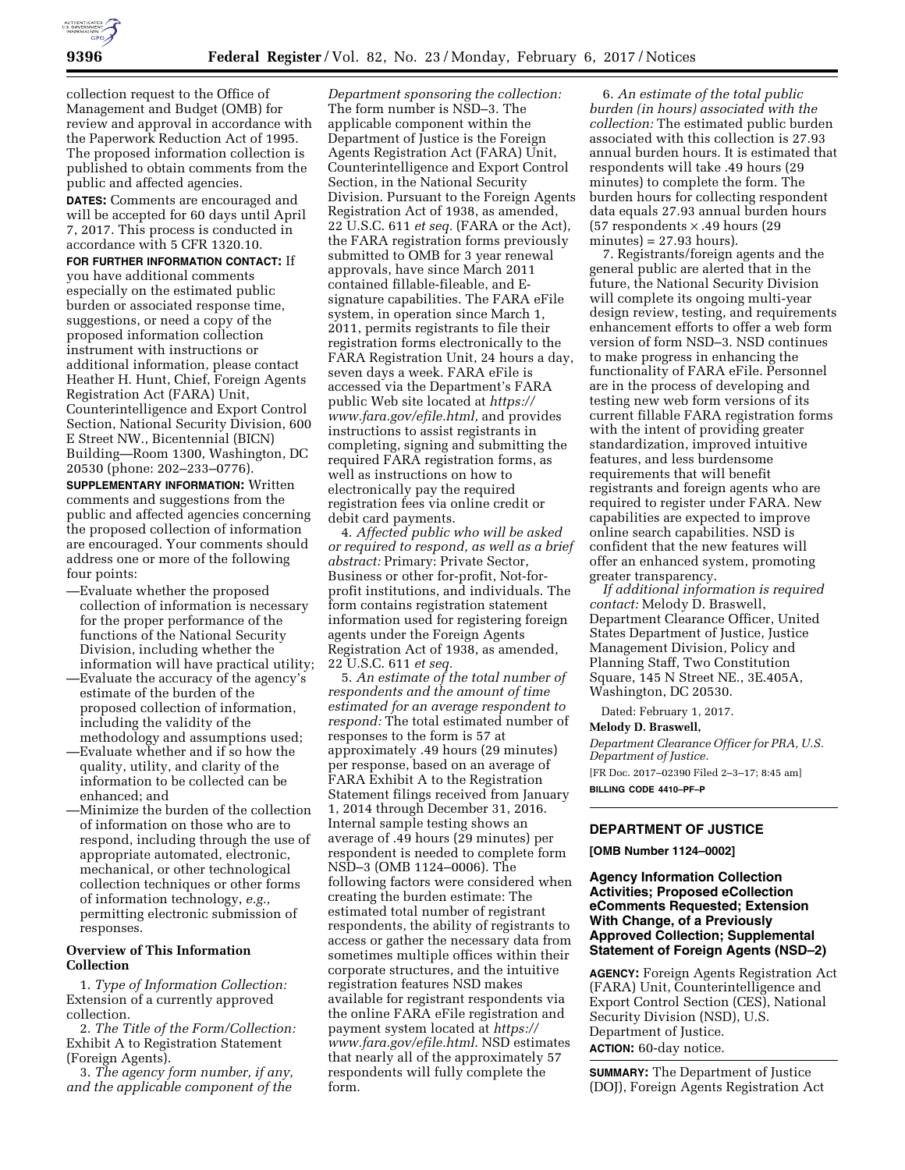

collection request to the Office of Management and Budget (OMB) for review and approval in accordance with the Paperwork Reduction Act of 1995. The proposed information collection is published to obtain comments from the public and affected agencies.

**DATES:** Comments are encouraged and will be accepted for 60 days until April 7, 2017. This process is conducted in accordance with 5 CFR 1320.10.

**FOR FURTHER INFORMATION CONTACT:** If you have additional comments especially on the estimated public burden or associated response time, suggestions, or need a copy of the proposed information collection instrument with instructions or additional information, please contact Heather H. Hunt, Chief, Foreign Agents Registration Act (FARA) Unit, Counterintelligence and Export Control Section, National Security Division, 600 E Street NW., Bicentennial (BICN) Building—Room 1300, Washington, DC 20530 (phone: 202–233–0776).

**SUPPLEMENTARY INFORMATION:** Written comments and suggestions from the public and affected agencies concerning the proposed collection of information are encouraged. Your comments should address one or more of the following four points:

- —Evaluate whether the proposed collection of information is necessary for the proper performance of the functions of the National Security Division, including whether the information will have practical utility;
- —Evaluate the accuracy of the agency's estimate of the burden of the proposed collection of information, including the validity of the methodology and assumptions used;
- —Evaluate whether and if so how the quality, utility, and clarity of the information to be collected can be enhanced; and
- —Minimize the burden of the collection of information on those who are to respond, including through the use of appropriate automated, electronic, mechanical, or other technological collection techniques or other forms of information technology, *e.g.,*  permitting electronic submission of responses.

#### **Overview of This Information Collection**

1. *Type of Information Collection:*  Extension of a currently approved collection.

2. *The Title of the Form/Collection:*  Exhibit A to Registration Statement (Foreign Agents).

3. *The agency form number, if any, and the applicable component of the* 

*Department sponsoring the collection:*  The form number is NSD–3. The applicable component within the Department of Justice is the Foreign Agents Registration Act (FARA) Unit, Counterintelligence and Export Control Section, in the National Security Division. Pursuant to the Foreign Agents Registration Act of 1938, as amended, 22 U.S.C. 611 *et seq.* (FARA or the Act), the FARA registration forms previously submitted to OMB for 3 year renewal approvals, have since March 2011 contained fillable-fileable, and Esignature capabilities. The FARA eFile system, in operation since March 1, 2011, permits registrants to file their registration forms electronically to the FARA Registration Unit, 24 hours a day, seven days a week. FARA eFile is accessed via the Department's FARA public Web site located at *[https://](https://www.fara.gov/efile.html) [www.fara.gov/efile.html,](https://www.fara.gov/efile.html)* and provides instructions to assist registrants in completing, signing and submitting the required FARA registration forms, as well as instructions on how to electronically pay the required registration fees via online credit or debit card payments.

4. *Affected public who will be asked or required to respond, as well as a brief abstract:* Primary: Private Sector, Business or other for-profit, Not-forprofit institutions, and individuals. The form contains registration statement information used for registering foreign agents under the Foreign Agents Registration Act of 1938, as amended, 22 U.S.C. 611 *et seq.* 

5. *An estimate of the total number of respondents and the amount of time estimated for an average respondent to respond:* The total estimated number of responses to the form is 57 at approximately .49 hours (29 minutes) per response, based on an average of FARA Exhibit A to the Registration Statement filings received from January 1, 2014 through December 31, 2016. Internal sample testing shows an average of .49 hours (29 minutes) per respondent is needed to complete form NSD–3 (OMB 1124–0006). The following factors were considered when creating the burden estimate: The estimated total number of registrant respondents, the ability of registrants to access or gather the necessary data from sometimes multiple offices within their corporate structures, and the intuitive registration features NSD makes available for registrant respondents via the online FARA eFile registration and payment system located at *[https://](https://www.fara.gov/efile.html) [www.fara.gov/efile.html](https://www.fara.gov/efile.html)*. NSD estimates that nearly all of the approximately 57 respondents will fully complete the form.

6. *An estimate of the total public burden (in hours) associated with the collection:* The estimated public burden associated with this collection is 27.93 annual burden hours. It is estimated that respondents will take .49 hours (29 minutes) to complete the form. The burden hours for collecting respondent data equals 27.93 annual burden hours (57 respondents  $\times$  .49 hours (29  $minutes$ ) = 27.93 hours).

7. Registrants/foreign agents and the general public are alerted that in the future, the National Security Division will complete its ongoing multi-year design review, testing, and requirements enhancement efforts to offer a web form version of form NSD–3. NSD continues to make progress in enhancing the functionality of FARA eFile. Personnel are in the process of developing and testing new web form versions of its current fillable FARA registration forms with the intent of providing greater standardization, improved intuitive features, and less burdensome requirements that will benefit registrants and foreign agents who are required to register under FARA. New capabilities are expected to improve online search capabilities. NSD is confident that the new features will offer an enhanced system, promoting greater transparency.

*If additional information is required contact:* Melody D. Braswell, Department Clearance Officer, United States Department of Justice, Justice Management Division, Policy and Planning Staff, Two Constitution Square, 145 N Street NE., 3E.405A, Washington, DC 20530.

Dated: February 1, 2017.

#### **Melody D. Braswell,**

*Department Clearance Officer for PRA, U.S. Department of Justice.* 

[FR Doc. 2017–02390 Filed 2–3–17; 8:45 am] **BILLING CODE 4410–PF–P** 

# **DEPARTMENT OF JUSTICE**

**[OMB Number 1124–0002]** 

### **Agency Information Collection Activities; Proposed eCollection eComments Requested; Extension With Change, of a Previously Approved Collection; Supplemental Statement of Foreign Agents (NSD–2)**

**AGENCY:** Foreign Agents Registration Act (FARA) Unit, Counterintelligence and Export Control Section (CES), National Security Division (NSD), U.S. Department of Justice. **ACTION:** 60-day notice.

**SUMMARY:** The Department of Justice (DOJ), Foreign Agents Registration Act